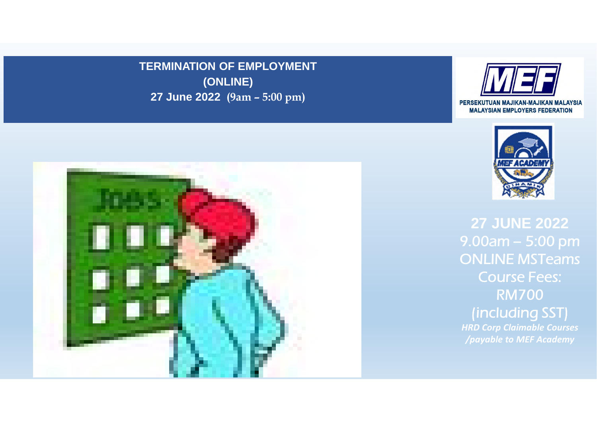**TERMINATION OF EMPLOYMENT (ONLINE) 27 June 2022 (9am – 5:00 pm)**







**27 JUNE 2022**  9.00am – 5:00 pm ONLINE MSTeams Course Fees: RM700 (including SST) *HRD Corp Claimable Courses /payable to MEF Academy*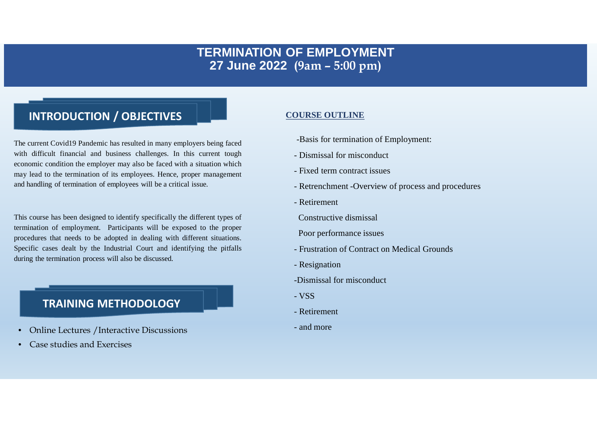# **TERMINATION OF EMPLOYMENT 27 June 2022 (9am – 5:00 pm)**

# **INTRODUCTION / OBJECTIVES**

The current Covid19 Pandemic has resulted in many employers being faced with difficult financial and business challenges. In this current tough economic condition the employer may also be faced with a situation which may lead to the termination of its employees. Hence, proper management and handling of termination of employees will be a critical issue.

This course has been designed to identify specifically the different types of termination of employment. Participants will be exposed to the proper procedures that needs to be adopted in dealing with different situations. Specific cases dealt by the Industrial Court and identifying the pitfalls during the termination process will also be discussed.

## **TRAINING METHODOLOGY**

- Online Lectures /Interactive Discussions
- Case studies and Exercises

#### **COURSE OUTLINE**

- -Basis for termination of Employment:
- Dismissal for misconduct
- Fixed term contract issues
- Retrenchment -Overview of process and procedures
- Retirement

Constructive dismissal

Poor performance issues

- Frustration of Contract on Medical Grounds
- Resignation
- -Dismissal for misconduct
- VSS
- Retirement
- and more